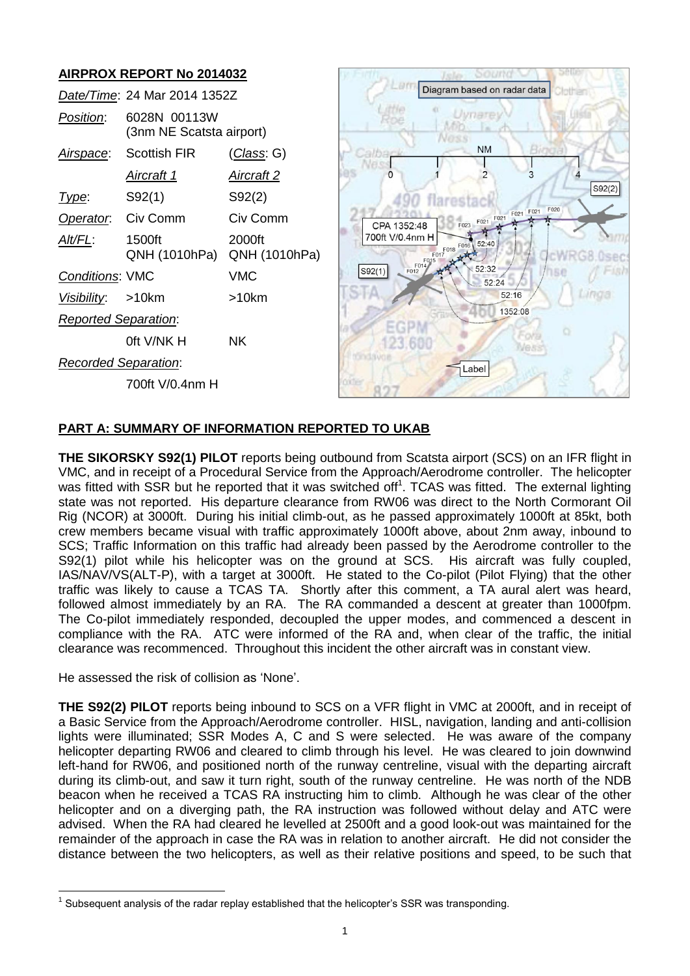# **AIRPROX REPORT No 2014032**

|                             | Date/Time: 24 Mar 2014 1352Z             |                         |
|-----------------------------|------------------------------------------|-------------------------|
| Position:                   | 6028N 00113W<br>(3nm NE Scatsta airport) |                         |
|                             | Airspace: Scottish FIR                   | (Class: G)              |
|                             | <u>Aircraft 1</u>                        | Aircraft 2              |
| Type:                       | S92(1)                                   | S92(2)                  |
| <b>Operator.</b> Civ Comm   |                                          | Civ Comm                |
| AIt/FL:                     | 1500ft<br>QNH (1010hPa)                  | 2000ft<br>QNH (1010hPa) |
| <b>Conditions: VMC</b>      |                                          | <b>VMC</b>              |
| Visibility: >10km           |                                          | $>10$ km                |
| <b>Reported Separation:</b> |                                          |                         |
|                             | oft V/NK H                               | ΝK                      |
| <b>Recorded Separation:</b> |                                          |                         |
|                             | 700ft V/0.4nm H                          |                         |



# **PART A: SUMMARY OF INFORMATION REPORTED TO UKAB**

**THE SIKORSKY S92(1) PILOT** reports being outbound from Scatsta airport (SCS) on an IFR flight in VMC, and in receipt of a Procedural Service from the Approach/Aerodrome controller. The helicopter was fitted with SSR but he reported that it was switched off<sup>1</sup>. TCAS was fitted. The external lighting state was not reported. His departure clearance from RW06 was direct to the North Cormorant Oil Rig (NCOR) at 3000ft. During his initial climb-out, as he passed approximately 1000ft at 85kt, both crew members became visual with traffic approximately 1000ft above, about 2nm away, inbound to SCS; Traffic Information on this traffic had already been passed by the Aerodrome controller to the S92(1) pilot while his helicopter was on the ground at SCS. His aircraft was fully coupled, IAS/NAV/VS(ALT-P), with a target at 3000ft. He stated to the Co-pilot (Pilot Flying) that the other traffic was likely to cause a TCAS TA. Shortly after this comment, a TA aural alert was heard, followed almost immediately by an RA. The RA commanded a descent at greater than 1000fpm. The Co-pilot immediately responded, decoupled the upper modes, and commenced a descent in compliance with the RA. ATC were informed of the RA and, when clear of the traffic, the initial clearance was recommenced. Throughout this incident the other aircraft was in constant view.

He assessed the risk of collision as 'None'.

 $\overline{a}$ 

**THE S92(2) PILOT** reports being inbound to SCS on a VFR flight in VMC at 2000ft, and in receipt of a Basic Service from the Approach/Aerodrome controller. HISL, navigation, landing and anti-collision lights were illuminated; SSR Modes A, C and S were selected. He was aware of the company helicopter departing RW06 and cleared to climb through his level. He was cleared to join downwind left-hand for RW06, and positioned north of the runway centreline, visual with the departing aircraft during its climb-out, and saw it turn right, south of the runway centreline. He was north of the NDB beacon when he received a TCAS RA instructing him to climb. Although he was clear of the other helicopter and on a diverging path, the RA instruction was followed without delay and ATC were advised. When the RA had cleared he levelled at 2500ft and a good look-out was maintained for the remainder of the approach in case the RA was in relation to another aircraft. He did not consider the distance between the two helicopters, as well as their relative positions and speed, to be such that

 $1$  Subsequent analysis of the radar replay established that the helicopter's SSR was transponding.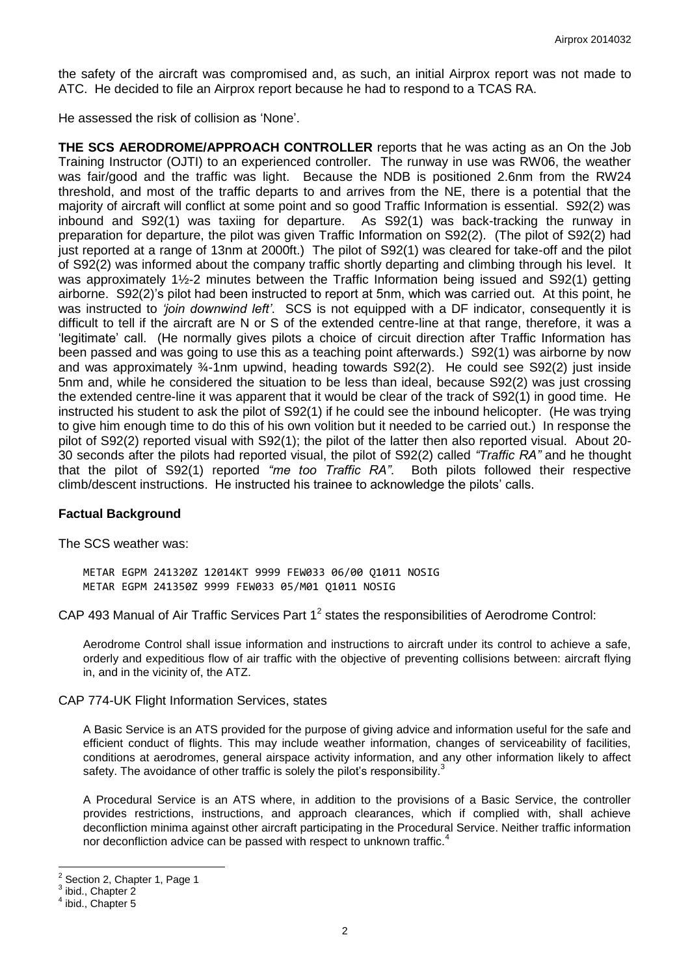the safety of the aircraft was compromised and, as such, an initial Airprox report was not made to ATC. He decided to file an Airprox report because he had to respond to a TCAS RA.

He assessed the risk of collision as 'None'.

**THE SCS AERODROME/APPROACH CONTROLLER** reports that he was acting as an On the Job Training Instructor (OJTI) to an experienced controller. The runway in use was RW06, the weather was fair/good and the traffic was light. Because the NDB is positioned 2.6nm from the RW24 threshold, and most of the traffic departs to and arrives from the NE, there is a potential that the majority of aircraft will conflict at some point and so good Traffic Information is essential. S92(2) was inbound and S92(1) was taxiing for departure. As S92(1) was back-tracking the runway in preparation for departure, the pilot was given Traffic Information on S92(2). (The pilot of S92(2) had just reported at a range of 13nm at 2000ft.) The pilot of S92(1) was cleared for take-off and the pilot of S92(2) was informed about the company traffic shortly departing and climbing through his level. It was approximately 1½-2 minutes between the Traffic Information being issued and S92(1) getting airborne. S92(2)'s pilot had been instructed to report at 5nm, which was carried out. At this point, he was instructed to *'join downwind left'*. SCS is not equipped with a DF indicator, consequently it is difficult to tell if the aircraft are N or S of the extended centre-line at that range, therefore, it was a 'legitimate' call. (He normally gives pilots a choice of circuit direction after Traffic Information has been passed and was going to use this as a teaching point afterwards.) S92(1) was airborne by now and was approximately  $\frac{3}{4}$ -1nm upwind, heading towards S92(2). He could see S92(2) just inside 5nm and, while he considered the situation to be less than ideal, because S92(2) was just crossing the extended centre-line it was apparent that it would be clear of the track of S92(1) in good time. He instructed his student to ask the pilot of S92(1) if he could see the inbound helicopter. (He was trying to give him enough time to do this of his own volition but it needed to be carried out.) In response the pilot of S92(2) reported visual with S92(1); the pilot of the latter then also reported visual. About 20- 30 seconds after the pilots had reported visual, the pilot of S92(2) called *"Traffic RA"* and he thought that the pilot of S92(1) reported *"me too Traffic RA"*. Both pilots followed their respective climb/descent instructions. He instructed his trainee to acknowledge the pilots' calls.

#### **Factual Background**

The SCS weather was:

METAR EGPM 241320Z 12014KT 9999 FEW033 06/00 Q1011 NOSIG METAR EGPM 241350Z 9999 FEW033 05/M01 Q1011 NOSIG

CAP 493 Manual of Air Traffic Services Part  $1<sup>2</sup>$  states the responsibilities of Aerodrome Control:

Aerodrome Control shall issue information and instructions to aircraft under its control to achieve a safe, orderly and expeditious flow of air traffic with the objective of preventing collisions between: aircraft flying in, and in the vicinity of, the ATZ.

#### CAP 774-UK Flight Information Services, states

A Basic Service is an ATS provided for the purpose of giving advice and information useful for the safe and efficient conduct of flights. This may include weather information, changes of serviceability of facilities, conditions at aerodromes, general airspace activity information, and any other information likely to affect safety. The avoidance of other traffic is solely the pilot's responsibility.<sup>3</sup>

A Procedural Service is an ATS where, in addition to the provisions of a Basic Service, the controller provides restrictions, instructions, and approach clearances, which if complied with, shall achieve deconfliction minima against other aircraft participating in the Procedural Service. Neither traffic information nor deconfliction advice can be passed with respect to unknown traffic.<sup>4</sup>

 $\overline{a}$ 

<sup>2</sup> Section 2, Chapter 1, Page 1

<sup>3</sup> ibid., Chapter 2

<sup>4</sup> ibid., Chapter 5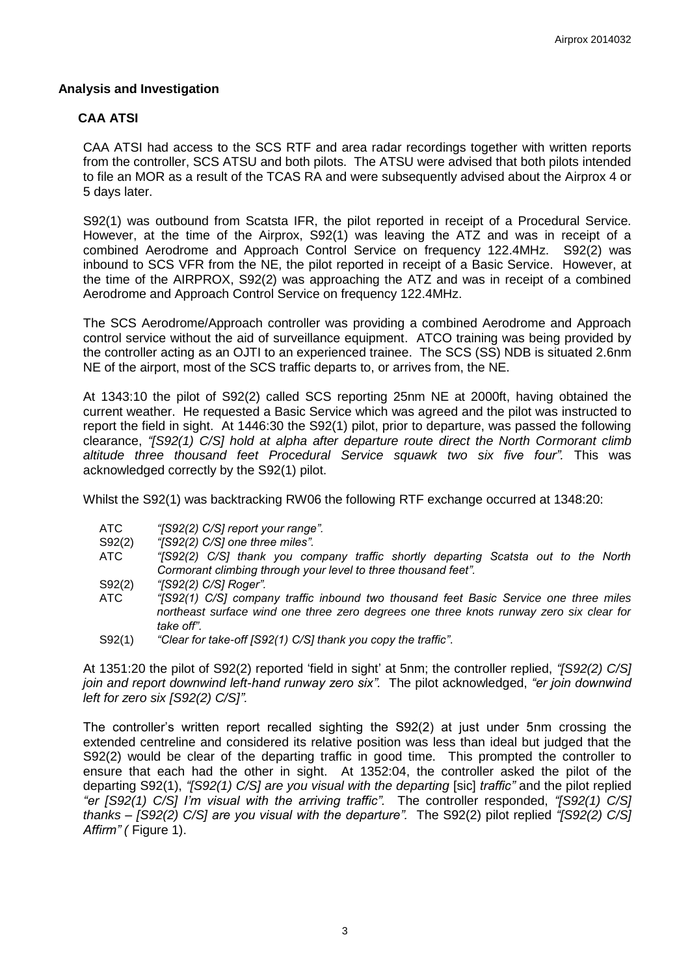## **Analysis and Investigation**

# **CAA ATSI**

CAA ATSI had access to the SCS RTF and area radar recordings together with written reports from the controller, SCS ATSU and both pilots. The ATSU were advised that both pilots intended to file an MOR as a result of the TCAS RA and were subsequently advised about the Airprox 4 or 5 days later.

S92(1) was outbound from Scatsta IFR, the pilot reported in receipt of a Procedural Service. However, at the time of the Airprox, S92(1) was leaving the ATZ and was in receipt of a combined Aerodrome and Approach Control Service on frequency 122.4MHz. S92(2) was inbound to SCS VFR from the NE, the pilot reported in receipt of a Basic Service. However, at the time of the AIRPROX, S92(2) was approaching the ATZ and was in receipt of a combined Aerodrome and Approach Control Service on frequency 122.4MHz.

The SCS Aerodrome/Approach controller was providing a combined Aerodrome and Approach control service without the aid of surveillance equipment. ATCO training was being provided by the controller acting as an OJTI to an experienced trainee. The SCS (SS) NDB is situated 2.6nm NE of the airport, most of the SCS traffic departs to, or arrives from, the NE.

At 1343:10 the pilot of S92(2) called SCS reporting 25nm NE at 2000ft, having obtained the current weather. He requested a Basic Service which was agreed and the pilot was instructed to report the field in sight. At 1446:30 the S92(1) pilot, prior to departure, was passed the following clearance, *"[S92(1) C/S] hold at alpha after departure route direct the North Cormorant climb altitude three thousand feet Procedural Service squawk two six five four".* This was acknowledged correctly by the S92(1) pilot.

Whilst the S92(1) was backtracking RW06 the following RTF exchange occurred at 1348:20:

- ATC *"[S92(2) C/S] report your range".*
- S92(2) *"[S92(2) C/S] one three miles".*
- ATC *"[S92(2) C/S] thank you company traffic shortly departing Scatsta out to the North Cormorant climbing through your level to three thousand feet".*
- S92(2) *"[S92(2) C/S] Roger".*
- ATC *"[S92(1) C/S] company traffic inbound two thousand feet Basic Service one three miles northeast surface wind one three zero degrees one three knots runway zero six clear for take off".*
- S92(1) *"Clear for take-off [S92(1) C/S] thank you copy the traffic"*.

At 1351:20 the pilot of S92(2) reported 'field in sight' at 5nm; the controller replied, *"[S92(2) C/S] join and report downwind left-hand runway zero six".* The pilot acknowledged, *"er join downwind left for zero six [S92(2) C/S]".*

The controller's written report recalled sighting the S92(2) at just under 5nm crossing the extended centreline and considered its relative position was less than ideal but judged that the S92(2) would be clear of the departing traffic in good time. This prompted the controller to ensure that each had the other in sight. At 1352:04, the controller asked the pilot of the departing S92(1), *"[S92(1) C/S] are you visual with the departing* [sic] *traffic"* and the pilot replied *"er [S92(1) C/S] I'm visual with the arriving traffic".* The controller responded, *"[S92(1) C/S] thanks – [S92(2) C/S] are you visual with the departure".* The S92(2) pilot replied *"[S92(2) C/S] Affirm" (* Figure 1).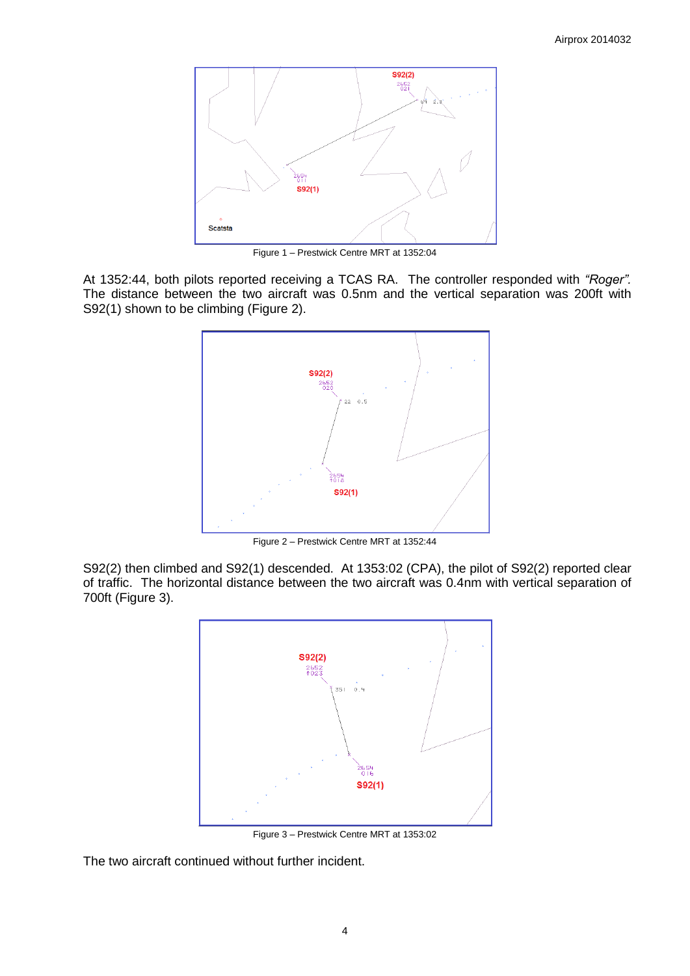

Figure 1 – Prestwick Centre MRT at 1352:04

At 1352:44, both pilots reported receiving a TCAS RA. The controller responded with *"Roger".* The distance between the two aircraft was 0.5nm and the vertical separation was 200ft with S92(1) shown to be climbing (Figure 2).



Figure 2 – Prestwick Centre MRT at 1352:44

S92(2) then climbed and S92(1) descended. At 1353:02 (CPA), the pilot of S92(2) reported clear of traffic. The horizontal distance between the two aircraft was 0.4nm with vertical separation of 700ft (Figure 3).



Figure 3 – Prestwick Centre MRT at 1353:02

The two aircraft continued without further incident.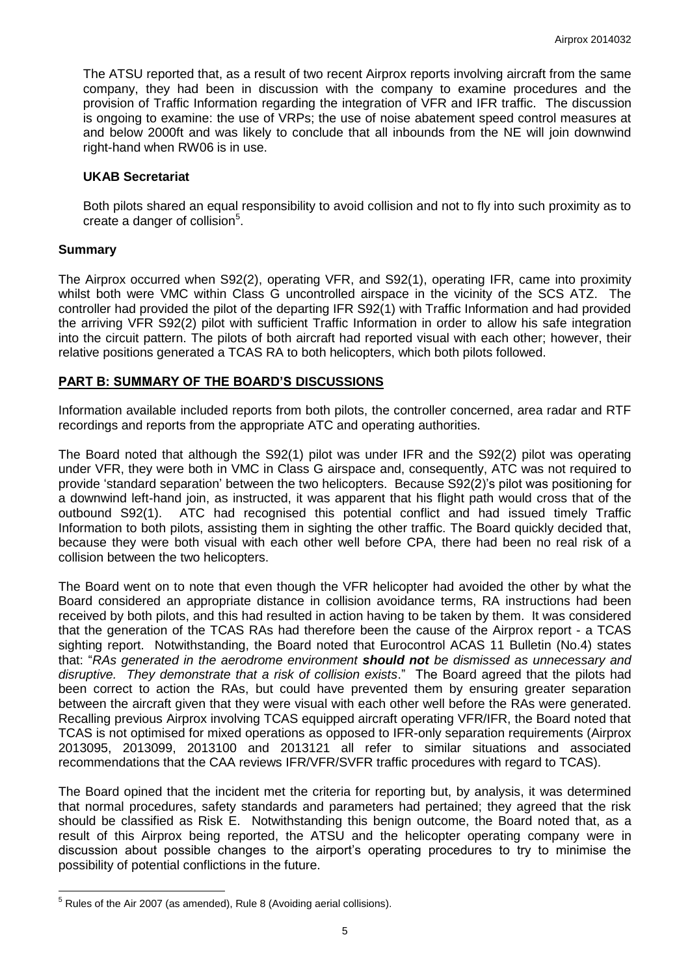The ATSU reported that, as a result of two recent Airprox reports involving aircraft from the same company, they had been in discussion with the company to examine procedures and the provision of Traffic Information regarding the integration of VFR and IFR traffic. The discussion is ongoing to examine: the use of VRPs; the use of noise abatement speed control measures at and below 2000ft and was likely to conclude that all inbounds from the NE will join downwind right-hand when RW06 is in use.

#### **UKAB Secretariat**

Both pilots shared an equal responsibility to avoid collision and not to fly into such proximity as to create a danger of collision<sup>5</sup>.

## **Summary**

 $\overline{a}$ 

The Airprox occurred when S92(2), operating VFR, and S92(1), operating IFR, came into proximity whilst both were VMC within Class G uncontrolled airspace in the vicinity of the SCS ATZ. The controller had provided the pilot of the departing IFR S92(1) with Traffic Information and had provided the arriving VFR S92(2) pilot with sufficient Traffic Information in order to allow his safe integration into the circuit pattern. The pilots of both aircraft had reported visual with each other; however, their relative positions generated a TCAS RA to both helicopters, which both pilots followed.

## **PART B: SUMMARY OF THE BOARD'S DISCUSSIONS**

Information available included reports from both pilots, the controller concerned, area radar and RTF recordings and reports from the appropriate ATC and operating authorities.

The Board noted that although the S92(1) pilot was under IFR and the S92(2) pilot was operating under VFR, they were both in VMC in Class G airspace and, consequently, ATC was not required to provide 'standard separation' between the two helicopters. Because S92(2)'s pilot was positioning for a downwind left-hand join, as instructed, it was apparent that his flight path would cross that of the outbound S92(1). ATC had recognised this potential conflict and had issued timely Traffic Information to both pilots, assisting them in sighting the other traffic. The Board quickly decided that, because they were both visual with each other well before CPA, there had been no real risk of a collision between the two helicopters.

The Board went on to note that even though the VFR helicopter had avoided the other by what the Board considered an appropriate distance in collision avoidance terms, RA instructions had been received by both pilots, and this had resulted in action having to be taken by them. It was considered that the generation of the TCAS RAs had therefore been the cause of the Airprox report - a TCAS sighting report. Notwithstanding, the Board noted that Eurocontrol ACAS 11 Bulletin (No.4) states that: "*RAs generated in the aerodrome environment should not be dismissed as unnecessary and disruptive. They demonstrate that a risk of collision exists*." The Board agreed that the pilots had been correct to action the RAs, but could have prevented them by ensuring greater separation between the aircraft given that they were visual with each other well before the RAs were generated. Recalling previous Airprox involving TCAS equipped aircraft operating VFR/IFR, the Board noted that TCAS is not optimised for mixed operations as opposed to IFR-only separation requirements (Airprox 2013095, 2013099, 2013100 and 2013121 all refer to similar situations and associated recommendations that the CAA reviews IFR/VFR/SVFR traffic procedures with regard to TCAS).

The Board opined that the incident met the criteria for reporting but, by analysis, it was determined that normal procedures, safety standards and parameters had pertained; they agreed that the risk should be classified as Risk E. Notwithstanding this benign outcome, the Board noted that, as a result of this Airprox being reported, the ATSU and the helicopter operating company were in discussion about possible changes to the airport's operating procedures to try to minimise the possibility of potential conflictions in the future.

 $5$  Rules of the Air 2007 (as amended), Rule 8 (Avoiding aerial collisions).